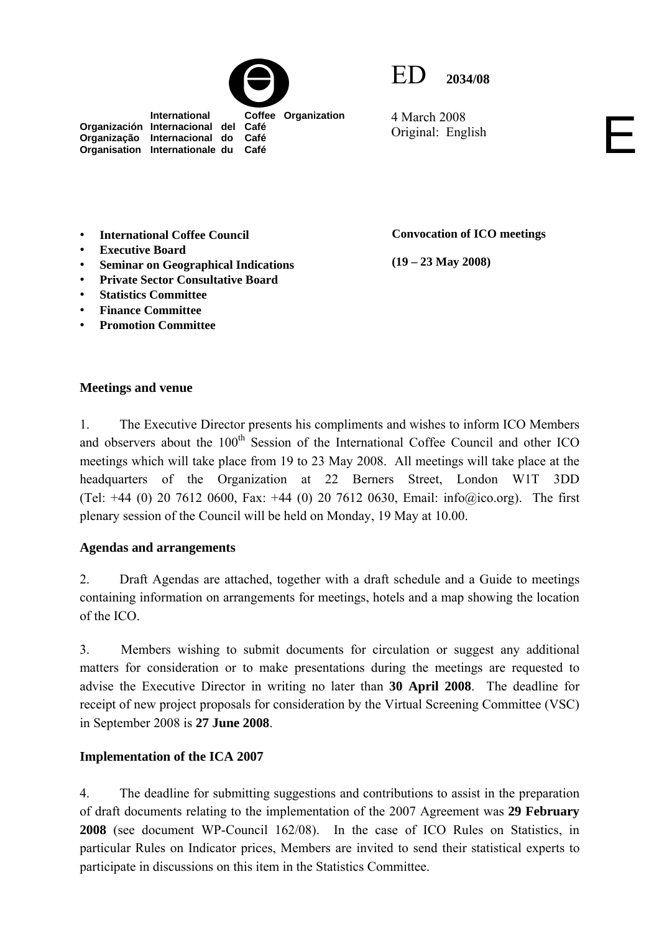

 **International Coffee Organization** 



4 March 2008 4 March 2008<br>Original: English

• **International Coffee Council** 

**Organización Internacional del Café Organização Internacional do Café Organisation Internationale du Café**

- **Executive Board**
- **Seminar on Geographical Indications**
- **Private Sector Consultative Board**
- **Statistics Committee**
- **Finance Committee**
- **Promotion Committee**

**(19 – 23 May 2008)** 

**Convocation of ICO meetings** 

## **Meetings and venue**

1. The Executive Director presents his compliments and wishes to inform ICO Members and observers about the 100<sup>th</sup> Session of the International Coffee Council and other ICO meetings which will take place from 19 to 23 May 2008. All meetings will take place at the headquarters of the Organization at 22 Berners Street, London W1T 3DD (Tel: +44 (0) 20 7612 0600, Fax: +44 (0) 20 7612 0630, Email:  $info@ico.org$ ). The first plenary session of the Council will be held on Monday, 19 May at 10.00.

## **Agendas and arrangements**

2. Draft Agendas are attached, together with a draft schedule and a Guide to meetings containing information on arrangements for meetings, hotels and a map showing the location of the ICO.

3. Members wishing to submit documents for circulation or suggest any additional matters for consideration or to make presentations during the meetings are requested to advise the Executive Director in writing no later than **30 April 2008**. The deadline for receipt of new project proposals for consideration by the Virtual Screening Committee (VSC) in September 2008 is **27 June 2008**.

## **Implementation of the ICA 2007**

4.The deadline for submitting suggestions and contributions to assist in the preparation of draft documents relating to the implementation of the 2007 Agreement was **29 February 2008** (see document WP-Council 162/08). In the case of ICO Rules on Statistics, in particular Rules on Indicator prices, Members are invited to send their statistical experts to participate in discussions on this item in the Statistics Committee.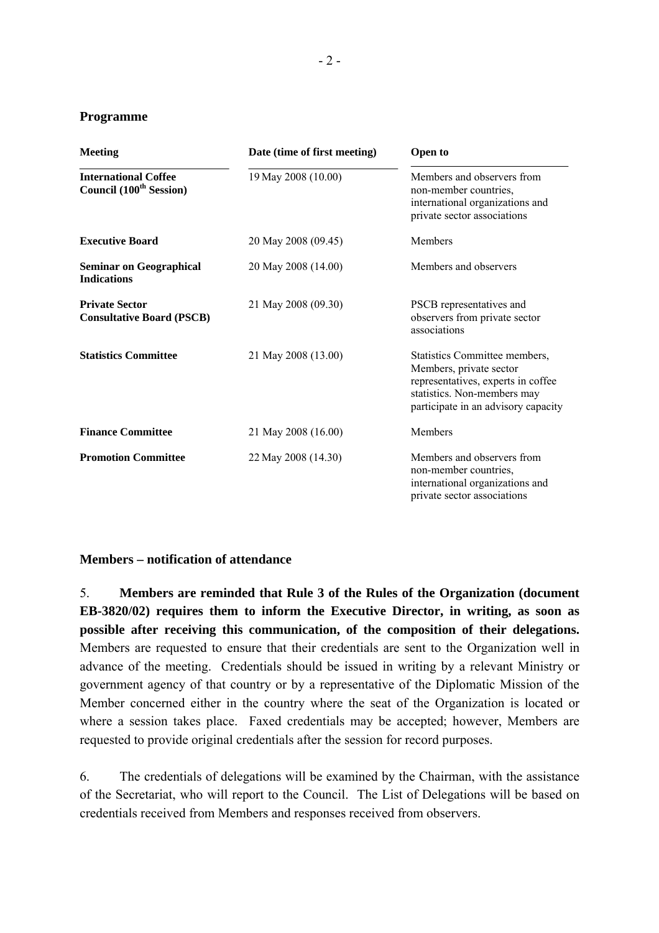#### **Programme**

| <b>Meeting</b>                                                     | Date (time of first meeting) | <b>Open to</b><br>Members and observers from<br>non-member countries,<br>international organizations and<br>private sector associations                              |  |
|--------------------------------------------------------------------|------------------------------|----------------------------------------------------------------------------------------------------------------------------------------------------------------------|--|
| <b>International Coffee</b><br>Council (100 <sup>th</sup> Session) | 19 May 2008 (10.00)          |                                                                                                                                                                      |  |
| <b>Executive Board</b>                                             | 20 May 2008 (09.45)          | <b>Members</b>                                                                                                                                                       |  |
| <b>Seminar on Geographical</b><br><b>Indications</b>               | 20 May 2008 (14.00)          | Members and observers                                                                                                                                                |  |
| <b>Private Sector</b><br><b>Consultative Board (PSCB)</b>          | 21 May 2008 (09.30)          | PSCB representatives and<br>observers from private sector<br>associations                                                                                            |  |
| <b>Statistics Committee</b>                                        | 21 May 2008 (13.00)          | Statistics Committee members,<br>Members, private sector<br>representatives, experts in coffee<br>statistics. Non-members may<br>participate in an advisory capacity |  |
| <b>Finance Committee</b>                                           | 21 May 2008 (16.00)          | Members                                                                                                                                                              |  |
| <b>Promotion Committee</b>                                         | 22 May 2008 (14.30)          | Members and observers from<br>non-member countries,<br>international organizations and<br>private sector associations                                                |  |

## **Members – notification of attendance**

5. **Members are reminded that Rule 3 of the Rules of the Organization (document EB-3820/02) requires them to inform the Executive Director, in writing, as soon as**  possible after receiving this communication, of the composition of their delegations. Members are requested to ensure that their credentials are sent to the Organization well in advance of the meeting. Credentials should be issued in writing by a relevant Ministry or government agency of that country or by a representative of the Diplomatic Mission of the Member concerned either in the country where the seat of the Organization is located or where a session takes place. Faxed credentials may be accepted; however, Members are requested to provide original credentials after the session for record purposes.

6. The credentials of delegations will be examined by the Chairman, with the assistance of the Secretariat, who will report to the Council. The List of Delegations will be based on credentials received from Members and responses received from observers.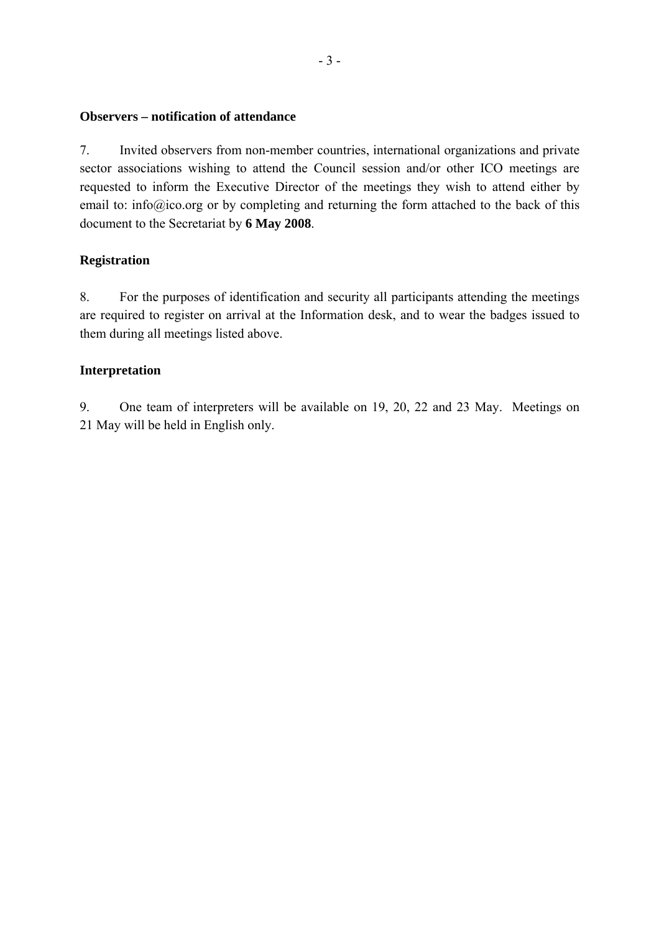## **Observers – notification of attendance**

7. Invited observers from non-member countries, international organizations and private sector associations wishing to attend the Council session and/or other ICO meetings are requested to inform the Executive Director of the meetings they wish to attend either by email to: info@ico.org or by completing and returning the form attached to the back of this document to the Secretariat by **6 May 2008**.

## **Registration**

8. For the purposes of identification and security all participants attending the meetings are required to register on arrival at the Information desk, and to wear the badges issued to them during all meetings listed above.

## **Interpretation**

9. One team of interpreters will be available on 19, 20, 22 and 23 May. Meetings on 21 May will be held in English only.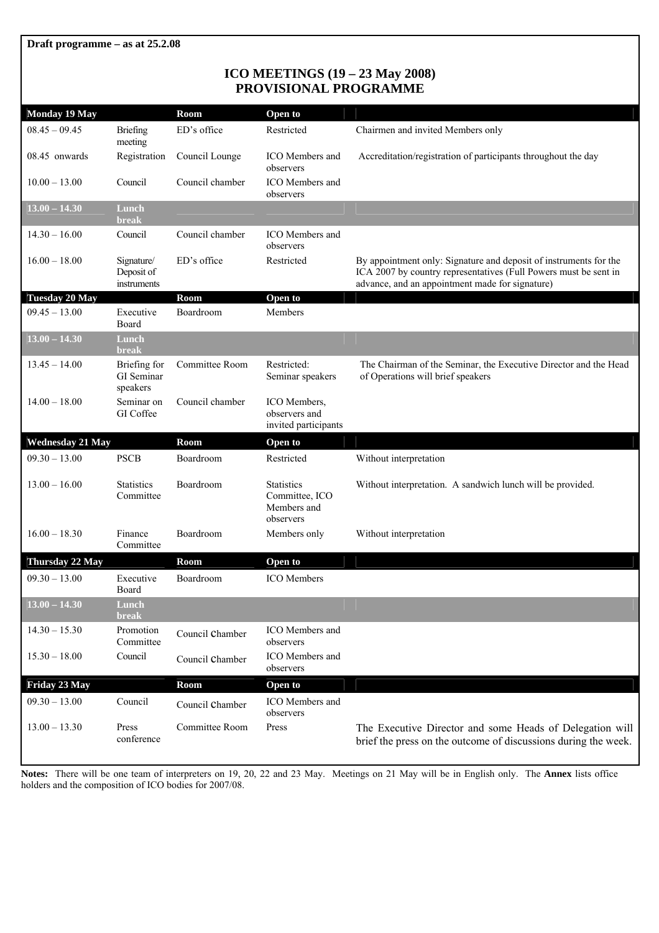## **ICO MEETINGS (19 – 23 May 2008) PROVISIONAL PROGRAMME**

| <b>Monday 19 May</b>                  |                                               | Room            | Open to                                                         |                                                                                                                                                                                          |
|---------------------------------------|-----------------------------------------------|-----------------|-----------------------------------------------------------------|------------------------------------------------------------------------------------------------------------------------------------------------------------------------------------------|
| $08.45 - 09.45$                       | Briefing<br>meeting                           | ED's office     | Restricted                                                      | Chairmen and invited Members only                                                                                                                                                        |
| $08.45$ onwards                       | Registration                                  | Council Lounge  | <b>ICO</b> Members and<br>observers                             | Accreditation/registration of participants throughout the day                                                                                                                            |
| $10.00 - 13.00$                       | Council                                       | Council chamber | <b>ICO</b> Members and<br>observers                             |                                                                                                                                                                                          |
| $13.00 - 14.30$                       | Lunch<br><b>break</b>                         |                 |                                                                 |                                                                                                                                                                                          |
| $14.30 - 16.00$                       | Council                                       | Council chamber | <b>ICO</b> Members and<br>observers                             |                                                                                                                                                                                          |
| $16.00 - 18.00$                       | Signature/<br>Deposit of<br>instruments       | ED's office     | Restricted                                                      | By appointment only: Signature and deposit of instruments for the<br>ICA 2007 by country representatives (Full Powers must be sent in<br>advance, and an appointment made for signature) |
| <b>Tuesday 20 May</b>                 |                                               | Room            | Open to                                                         |                                                                                                                                                                                          |
| $09.45 - 13.00$                       | Executive<br>Board                            | Boardroom       | Members                                                         |                                                                                                                                                                                          |
| $13.00 - 14.30$                       | Lunch<br><b>break</b>                         |                 |                                                                 |                                                                                                                                                                                          |
| $13.45 - 14.00$                       | Briefing for<br><b>GI</b> Seminar<br>speakers | Committee Room  | Restricted:<br>Seminar speakers                                 | The Chairman of the Seminar, the Executive Director and the Head<br>of Operations will brief speakers                                                                                    |
| $14.00 - 18.00$                       | Seminar on<br>GI Coffee                       | Council chamber | ICO Members,<br>observers and<br>invited participants           |                                                                                                                                                                                          |
|                                       |                                               |                 |                                                                 |                                                                                                                                                                                          |
| <b>Wednesday 21 May</b>               |                                               | <b>Room</b>     | Open to                                                         |                                                                                                                                                                                          |
| $09.30 - 13.00$                       | <b>PSCB</b>                                   | Boardroom       | Restricted                                                      | Without interpretation                                                                                                                                                                   |
| $13.00 - 16.00$                       | <b>Statistics</b><br>Committee                | Boardroom       | <b>Statistics</b><br>Committee, ICO<br>Members and<br>observers | Without interpretation. A sandwich lunch will be provided.                                                                                                                               |
| $16.00 - 18.30$                       | Finance<br>Committee                          | Boardroom       | Members only                                                    | Without interpretation                                                                                                                                                                   |
| Thursday 22 May                       |                                               | Room            | Open to                                                         |                                                                                                                                                                                          |
| $09.30 - 13.00$                       | Executive<br>Board                            | Boardroom       | <b>ICO</b> Members                                              |                                                                                                                                                                                          |
| $\overline{13.00} - \overline{14.30}$ | Lunch<br>break                                |                 |                                                                 |                                                                                                                                                                                          |
| $14.30 - 15.30$                       | Promotion<br>Committee                        | Council Chamber | ICO Members and<br>observers                                    |                                                                                                                                                                                          |
| $15.30 - 18.00$                       | Council                                       | Council Chamber | ICO Members and<br>observers                                    |                                                                                                                                                                                          |
| Friday 23 May                         |                                               | <b>Room</b>     | Open to                                                         |                                                                                                                                                                                          |
| $09.30 - 13.00$                       | Council                                       | Council Chamber | ICO Members and<br>observers                                    |                                                                                                                                                                                          |

**Notes:** There will be one team of interpreters on 19, 20, 22 and 23 May. Meetings on 21 May will be in English only. The **Annex** lists office holders and the composition of ICO bodies for 2007/08.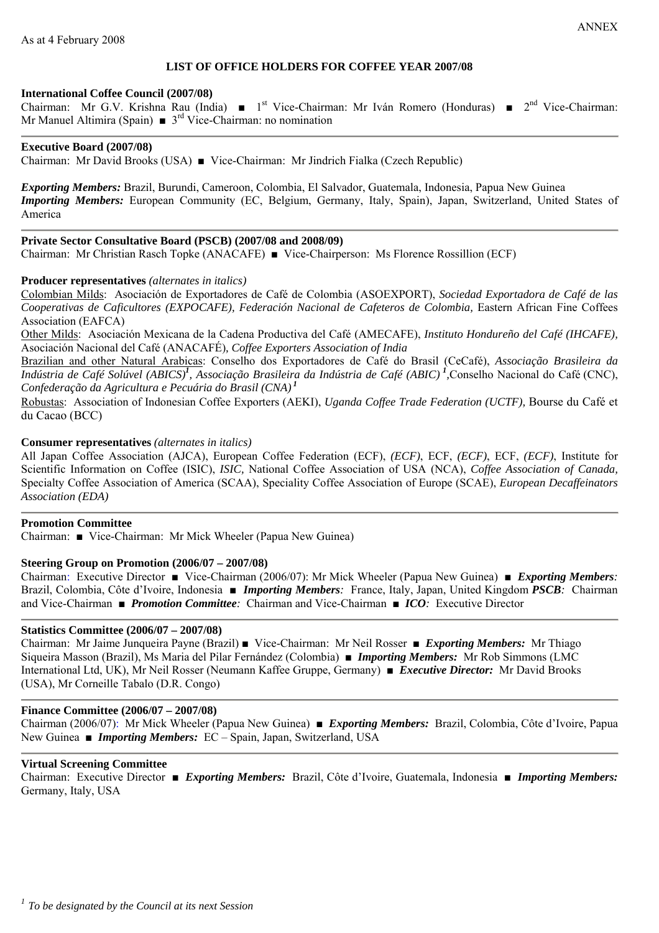#### **LIST OF OFFICE HOLDERS FOR COFFEE YEAR 2007/08**

#### **International Coffee Council (2007/08)**

Chairman: Mr G.V. Krishna Rau (India) ■ 1<sup>st</sup> Vice-Chairman: Mr Iván Romero (Honduras) ■ 2<sup>nd</sup> Vice-Chairman: Mr Manuel Altimira (Spain)  $\bullet$  3<sup>rd</sup> Vice-Chairman: no nomination

#### **Executive Board (2007/08)**

Chairman: Mr David Brooks (USA) ■ Vice-Chairman: Mr Jindrich Fialka (Czech Republic)

*Exporting Members:* Brazil, Burundi, Cameroon, Colombia, El Salvador, Guatemala, Indonesia, Papua New Guinea *Importing Members:* European Community (EC, Belgium, Germany, Italy, Spain), Japan, Switzerland, United States of America

#### **Private Sector Consultative Board (PSCB) (2007/08 and 2008/09)**

Chairman: Mr Christian Rasch Topke (ANACAFE) ■ Vice-Chairperson: Ms Florence Rossillion (ECF)

#### **Producer representatives** *(alternates in italics)*

Colombian Milds: Asociación de Exportadores de Café de Colombia (ASOEXPORT), *Sociedad Exportadora de Café de las*  Cooperativas de Caficultores (EXPOCAFE), Federación Nacional de Cafeteros de Colombia, Eastern African Fine Coffees Association (EAFCA)

Other Milds: Asociación Mexicana de la Cadena Productiva del Café (AMECAFE), *Instituto Hondureño del Café (IHCAFE),*  Asociación Nacional del Café (ANACAFÉ)*, Coffee Exporters Association of India* 

Brazilian and other Natural Arabicas: Conselho dos Exportadores de Café do Brasil (CeCafé), *Associação Brasileira da Indústria de Café Solúvel (ABICS)<sup>1</sup> , Associação Brasileira da Indústria de Café (ABIC) <sup>1</sup> ,*Conselho Nacional do Café (CNC), *Confederação da Agricultura e Pecuária do Brasil (CNA) <sup>1</sup>*

Robustas: Association of Indonesian Coffee Exporters (AEKI), *Uganda Coffee Trade Federation (UCTF),* Bourse du Café et du Cacao (BCC)

#### **Consumer representatives** *(alternates in italics)*

All Japan Coffee Association (AJCA), European Coffee Federation (ECF), *(ECF)*, ECF, *(ECF)*, ECF, *(ECF)*, Institute for Scientific Information on Coffee (ISIC), *ISIC,* National Coffee Association of USA (NCA), *Coffee Association of Canada,*  Specialty Coffee Association of America (SCAA), Speciality Coffee Association of Europe (SCAE), *European Decaffeinators Association (EDA)* 

#### **Promotion Committee**

Chairman: ■ Vice-Chairman: Mr Mick Wheeler (Papua New Guinea)

#### **Steering Group on Promotion (2006/07 – 2007/08)**

Chairman: Executive Director ■ Vice-Chairman (2006/07): Mr Mick Wheeler (Papua New Guinea) ■ *Exporting Members:* Brazil, Colombia, Côte d'Ivoire, Indonesia ■ *Importing Members:*France, Italy, Japan, United Kingdom *PSCB:*Chairman and Vice-Chairman ■ *Promotion Committee:* Chairman and Vice-Chairman ■ *ICO:* Executive Director

#### **Statistics Committee (2006/07 – 2007/08)**

Chairman: Mr Jaime Junqueira Payne (Brazil) ■ Vice-Chairman: Mr Neil Rosser ■ *Exporting Members:* Mr Thiago Siqueira Masson (Brazil), Ms Maria del Pilar Fernández (Colombia) ■ *Importing Members:* Mr Rob Simmons (LMC International Ltd, UK), Mr Neil Rosser (Neumann Kaffee Gruppe, Germany) ■ *Executive Director:* Mr David Brooks (USA), Mr Corneille Tabalo (D.R. Congo)

#### **Finance Committee (2006/07 – 2007/08)**

Chairman (2006/07): Mr Mick Wheeler (Papua New Guinea) ■ *Exporting Members:* Brazil, Colombia, Côte d'Ivoire, Papua New Guinea ■ *Importing Members:* EC – Spain, Japan, Switzerland, USA

#### **Virtual Screening Committee**

Chairman: Executive Director ■ *Exporting Members:*Brazil, Côte d'Ivoire, Guatemala, Indonesia ■ *Importing Members:* Germany, Italy, USA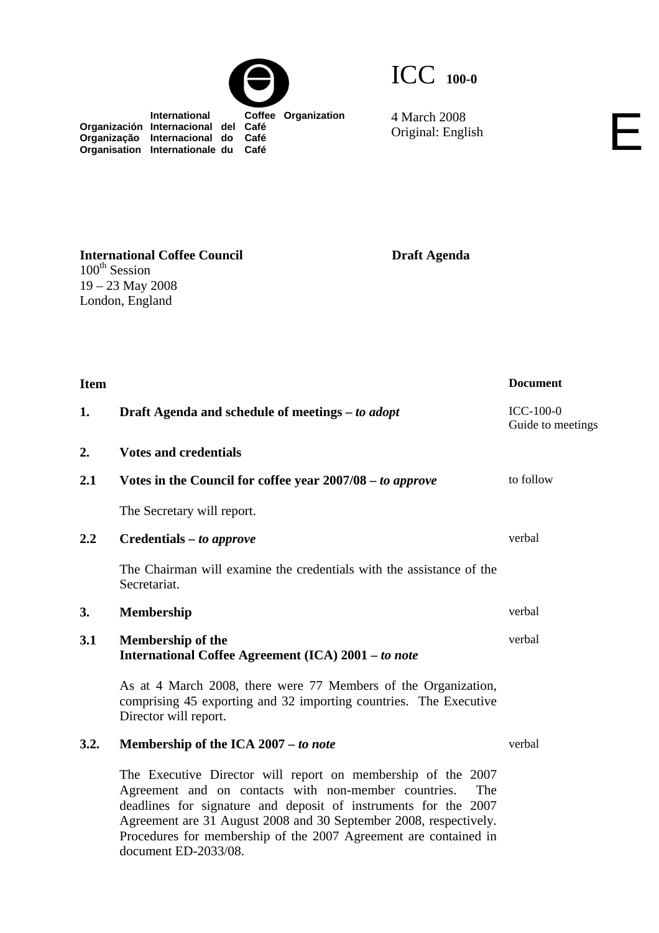



4 March 2008 4 March 2008<br>Original: English

 **International Coffee Organization Organización Internacional del Café Organização Internacional do Café Organisation Internationale du Café**

**Draft Agenda** 

**Item** Document **1.** Draft Agenda and schedule of meetings – *to adopt* ICC-100-0 **2. Votes and credentials 2.1 Votes in the Council for coffee year 2007/08 –** *to approve* The Secretary will report. **2.2 Credentials** *– to approve*

The Chairman will examine the credentials with the assistance of the Secretariat.

# **3. Membership** verbal **3.1 Membership of the International Coffee Agreement (ICA) 2001 –** *to note*

As at 4 March 2008, there were 77 Members of the Organization, comprising 45 exporting and 32 importing countries. The Executive Director will report.

# **3.2.** Membership of the ICA 2007 – *to note*

The Executive Director will report on membership of the 2007 Agreement and on contacts with non-member countries. The deadlines for signature and deposit of instruments for the 2007 Agreement are 31 August 2008 and 30 September 2008, respectively. Procedures for membership of the 2007 Agreement are contained in document ED-2033/08.

**International Coffee Council**  100<sup>th</sup> Session 19 – 23 May 2008 London, England

to follow

Guide to meetings

verbal

verbal

verbal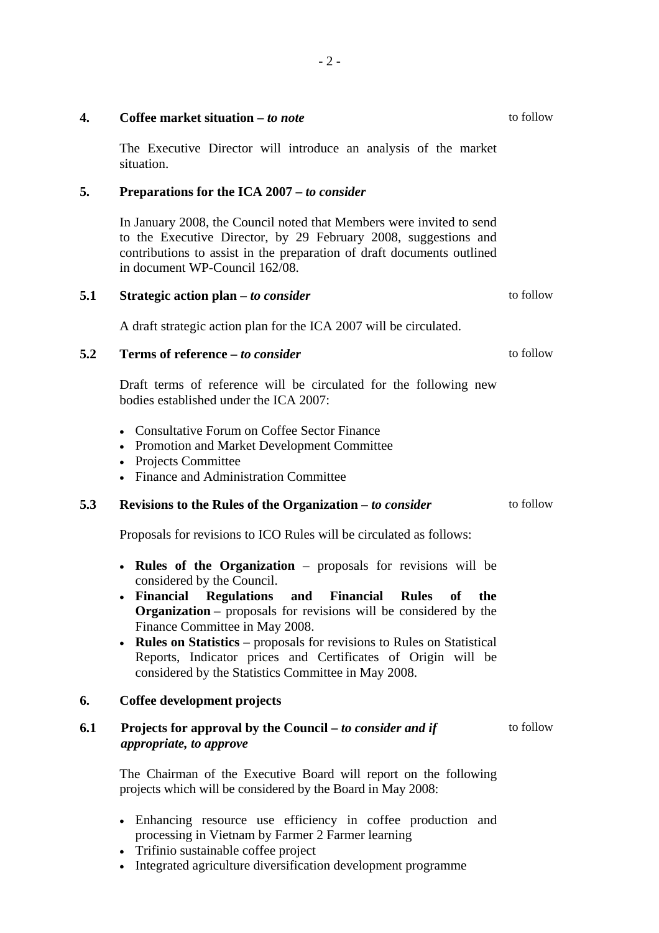|     | The Executive Director will introduce an analysis of the market<br>situation.                                                                                                                                                                                                                                                                                                                                                                                                                 |           |
|-----|-----------------------------------------------------------------------------------------------------------------------------------------------------------------------------------------------------------------------------------------------------------------------------------------------------------------------------------------------------------------------------------------------------------------------------------------------------------------------------------------------|-----------|
| 5.  | Preparations for the ICA 2007 – to consider                                                                                                                                                                                                                                                                                                                                                                                                                                                   |           |
|     | In January 2008, the Council noted that Members were invited to send<br>to the Executive Director, by 29 February 2008, suggestions and<br>contributions to assist in the preparation of draft documents outlined<br>in document WP-Council 162/08.                                                                                                                                                                                                                                           |           |
| 5.1 | Strategic action plan – to consider                                                                                                                                                                                                                                                                                                                                                                                                                                                           | to follow |
|     | A draft strategic action plan for the ICA 2007 will be circulated.                                                                                                                                                                                                                                                                                                                                                                                                                            |           |
| 5.2 | Terms of reference - to consider                                                                                                                                                                                                                                                                                                                                                                                                                                                              | to follow |
|     | Draft terms of reference will be circulated for the following new<br>bodies established under the ICA 2007:                                                                                                                                                                                                                                                                                                                                                                                   |           |
|     | • Consultative Forum on Coffee Sector Finance<br>• Promotion and Market Development Committee<br>• Projects Committee<br>• Finance and Administration Committee                                                                                                                                                                                                                                                                                                                               |           |
| 5.3 | Revisions to the Rules of the Organization – to consider                                                                                                                                                                                                                                                                                                                                                                                                                                      | to follow |
|     | Proposals for revisions to ICO Rules will be circulated as follows:                                                                                                                                                                                                                                                                                                                                                                                                                           |           |
|     | • Rules of the Organization – proposals for revisions will be<br>considered by the Council.<br><b>Financial Regulations and Financial Rules</b><br>of<br>the<br>$\bullet$<br><b>Organization</b> – proposals for revisions will be considered by the<br>Finance Committee in May 2008.<br><b>Rules on Statistics</b> – proposals for revisions to Rules on Statistical<br>Reports, Indicator prices and Certificates of Origin will be<br>considered by the Statistics Committee in May 2008. |           |
| 6.  | Coffee development projects                                                                                                                                                                                                                                                                                                                                                                                                                                                                   |           |
| 6.1 | Projects for approval by the Council – to consider and if<br>appropriate, to approve                                                                                                                                                                                                                                                                                                                                                                                                          | to follow |
|     | The Chairman of the Executive Board will report on the following<br>projects which will be considered by the Board in May 2008:                                                                                                                                                                                                                                                                                                                                                               |           |
|     |                                                                                                                                                                                                                                                                                                                                                                                                                                                                                               |           |

- Enhancing resource use efficiency in coffee production and processing in Vietnam by Farmer 2 Farmer learning
- Trifinio sustainable coffee project
- Integrated agriculture diversification development programme

- 2 -

to follow

**4. Coffee market situation –** *to note*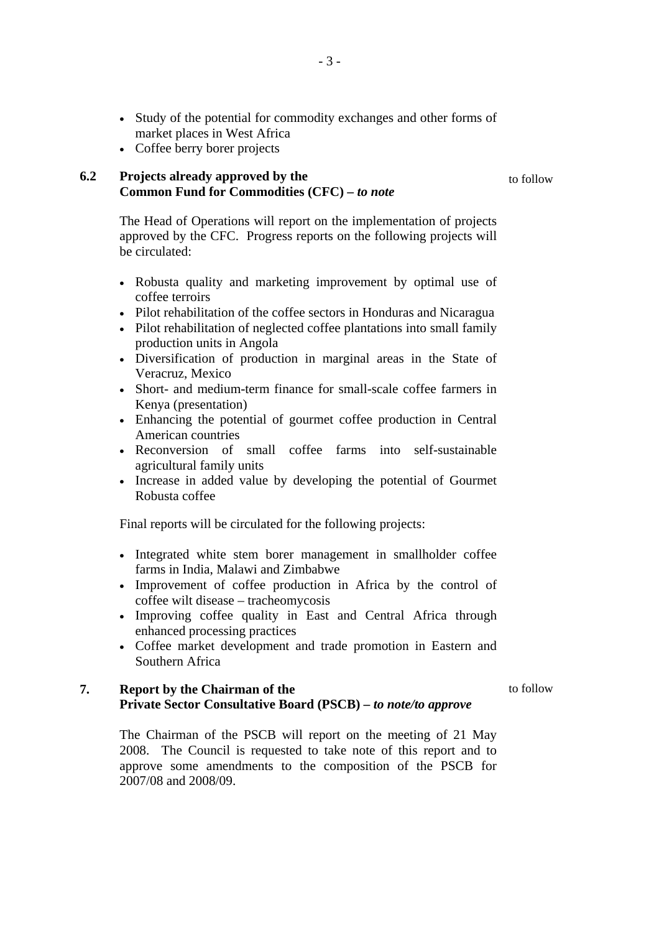- Study of the potential for commodity exchanges and other forms of market places in West Africa
- Coffee berry borer projects

## **6.2 Projects already approved by the Common Fund for Commodities (CFC)** *– to note*

to follow

The Head of Operations will report on the implementation of projects approved by the CFC. Progress reports on the following projects will be circulated:

- Robusta quality and marketing improvement by optimal use of coffee terroirs
- Pilot rehabilitation of the coffee sectors in Honduras and Nicaragua
- Pilot rehabilitation of neglected coffee plantations into small family production units in Angola
- Diversification of production in marginal areas in the State of Veracruz, Mexico
- Short- and medium-term finance for small-scale coffee farmers in Kenya (presentation)
- Enhancing the potential of gourmet coffee production in Central American countries
- Reconversion of small coffee farms into self-sustainable agricultural family units
- Increase in added value by developing the potential of Gourmet Robusta coffee

Final reports will be circulated for the following projects:

- Integrated white stem borer management in smallholder coffee farms in India, Malawi and Zimbabwe
- Improvement of coffee production in Africa by the control of coffee wilt disease – tracheomycosis
- Improving coffee quality in East and Central Africa through enhanced processing practices
- Coffee market development and trade promotion in Eastern and Southern Africa

### **7. Report by the Chairman of the Private Sector Consultative Board (PSCB)** *– to note/to approve*

to follow

The Chairman of the PSCB will report on the meeting of 21 May 2008. The Council is requested to take note of this report and to approve some amendments to the composition of the PSCB for 2007/08 and 2008/09.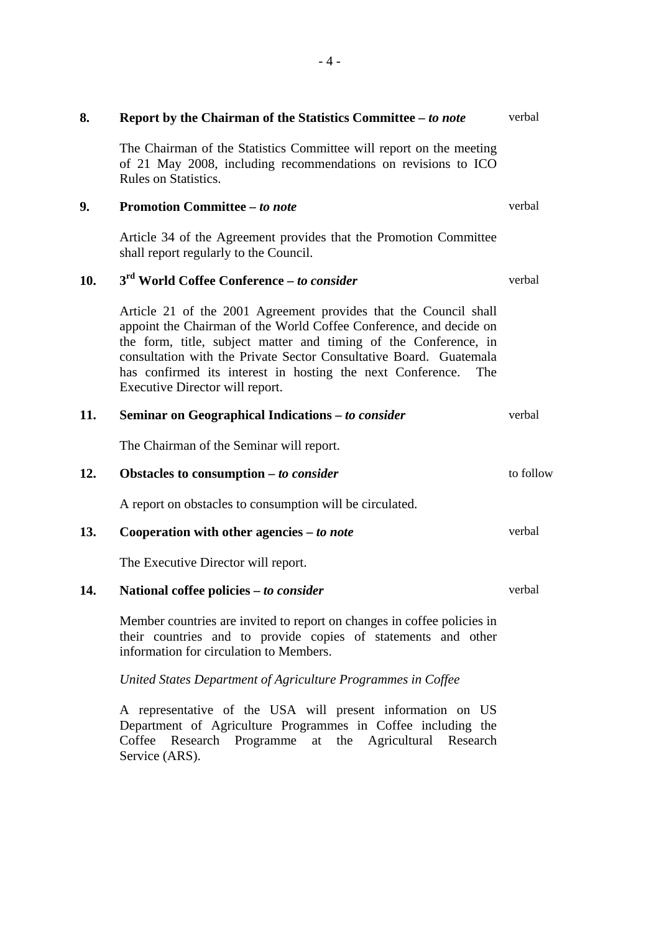| 8.  | Report by the Chairman of the Statistics Committee - to note                                                                                                                                                                                                                                                                                                                             | verbal    |
|-----|------------------------------------------------------------------------------------------------------------------------------------------------------------------------------------------------------------------------------------------------------------------------------------------------------------------------------------------------------------------------------------------|-----------|
|     | The Chairman of the Statistics Committee will report on the meeting<br>of 21 May 2008, including recommendations on revisions to ICO<br><b>Rules on Statistics.</b>                                                                                                                                                                                                                      |           |
| 9.  | <b>Promotion Committee - to note</b>                                                                                                                                                                                                                                                                                                                                                     | verbal    |
|     | Article 34 of the Agreement provides that the Promotion Committee<br>shall report regularly to the Council.                                                                                                                                                                                                                                                                              |           |
| 10. | 3 <sup>rd</sup> World Coffee Conference - to consider                                                                                                                                                                                                                                                                                                                                    | verbal    |
|     | Article 21 of the 2001 Agreement provides that the Council shall<br>appoint the Chairman of the World Coffee Conference, and decide on<br>the form, title, subject matter and timing of the Conference, in<br>consultation with the Private Sector Consultative Board. Guatemala<br>has confirmed its interest in hosting the next Conference.<br>The<br>Executive Director will report. |           |
| 11. | Seminar on Geographical Indications - to consider                                                                                                                                                                                                                                                                                                                                        | verbal    |
|     | The Chairman of the Seminar will report.                                                                                                                                                                                                                                                                                                                                                 |           |
| 12. | Obstacles to consumption $-$ to consider                                                                                                                                                                                                                                                                                                                                                 | to follow |
|     | A report on obstacles to consumption will be circulated.                                                                                                                                                                                                                                                                                                                                 |           |
| 13. | Cooperation with other agencies $- to note$                                                                                                                                                                                                                                                                                                                                              | verbal    |
|     | The Executive Director will report.                                                                                                                                                                                                                                                                                                                                                      |           |
| 14. | National coffee policies – to consider                                                                                                                                                                                                                                                                                                                                                   | verbal    |
|     | Member countries are invited to report on changes in coffee policies in<br>their countries and to provide copies of statements and other<br>information for circulation to Members.                                                                                                                                                                                                      |           |

*United States Department of Agriculture Programmes in Coffee* 

A representative of the USA will present information on US Department of Agriculture Programmes in Coffee including the Coffee Research Programme at the Agricultural Research Service (ARS).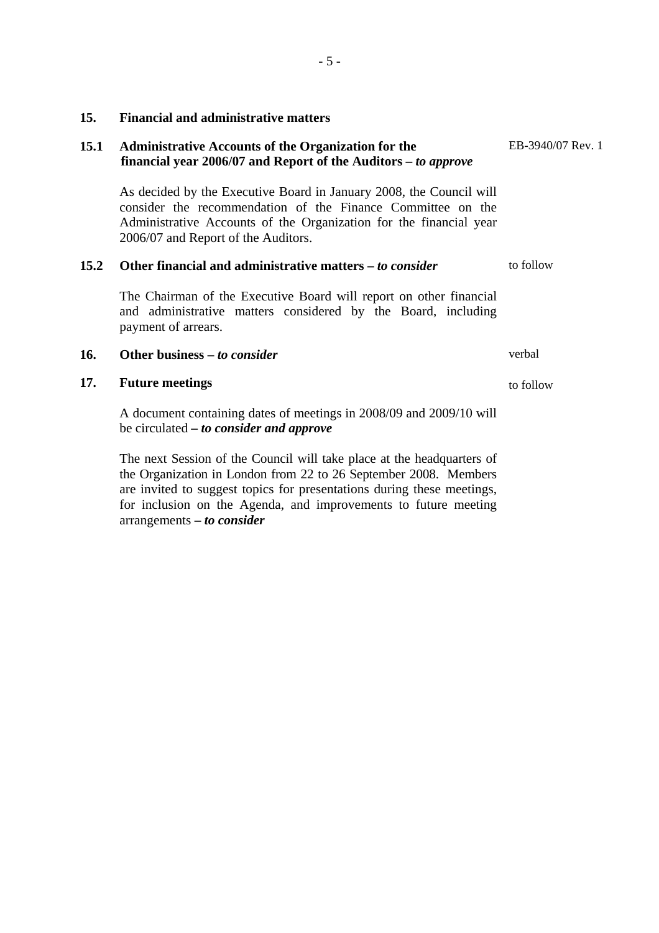## **15. Financial and administrative matters**

## **15.1 Administrative Accounts of the Organization for the financial year 2006/07 and Report of the Auditors –** *to approve*

As decided by the Executive Board in January 2008, the Council will consider the recommendation of the Finance Committee on the Administrative Accounts of the Organization for the financial year 2006/07 and Report of the Auditors.

#### **15.2 Other financial and administrative matters –** *to consider* to follow

The Chairman of the Executive Board will report on other financial and administrative matters considered by the Board, including payment of arrears.

## **16. Other business –** *to consider* verbal

#### **17. Future meetings**

A document containing dates of meetings in 2008/09 and 2009/10 will be circulated *– to consider and approve* 

The next Session of the Council will take place at the headquarters of the Organization in London from 22 to 26 September 2008. Members are invited to suggest topics for presentations during these meetings, for inclusion on the Agenda, and improvements to future meeting arrangements **–** *to consider*

EB-3940/07 Rev. 1

to follow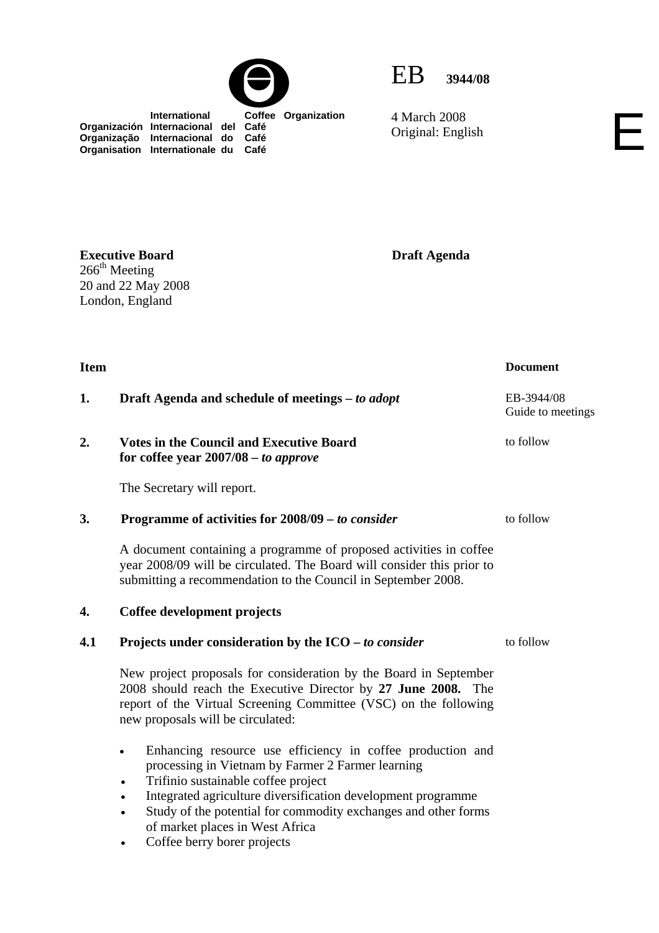



4 March 2008 4 March 2008<br>Original: English

 **International Coffee Organization Organización Internacional del Café Organização Internacional do Café Organisation Internationale du Café**

**Draft Agenda** 

**Item** Document **1.** Draft Agenda and schedule of meetings – *to adopt* EB-3944/08 **2. Votes in the Council and Executive Board for coffee year 2007/08** *– to approve*  The Secretary will report. to follow **3. Programme of activities for 2008/09** *– to consider* A document containing a programme of proposed activities in coffee year 2008/09 will be circulated. The Board will consider this prior to submitting a recommendation to the Council in September 2008. to follow **4. Coffee development projects 4.1** Projects under consideration by the ICO – *to consider* to follow New project proposals for consideration by the Board in September 2008 should reach the Executive Director by **27 June 2008.** The report of the Virtual Screening Committee (VSC) on the following new proposals will be circulated: • Enhancing resource use efficiency in coffee production and processing in Vietnam by Farmer 2 Farmer learning • Trifinio sustainable coffee project • Integrated agriculture diversification development programme Study of the potential for commodity exchanges and other forms of market places in West Africa Coffee berry borer projects

**Executive Board**   $266<sup>th</sup>$  Meeting 20 and 22 May 2008 London, England

Guide to meetings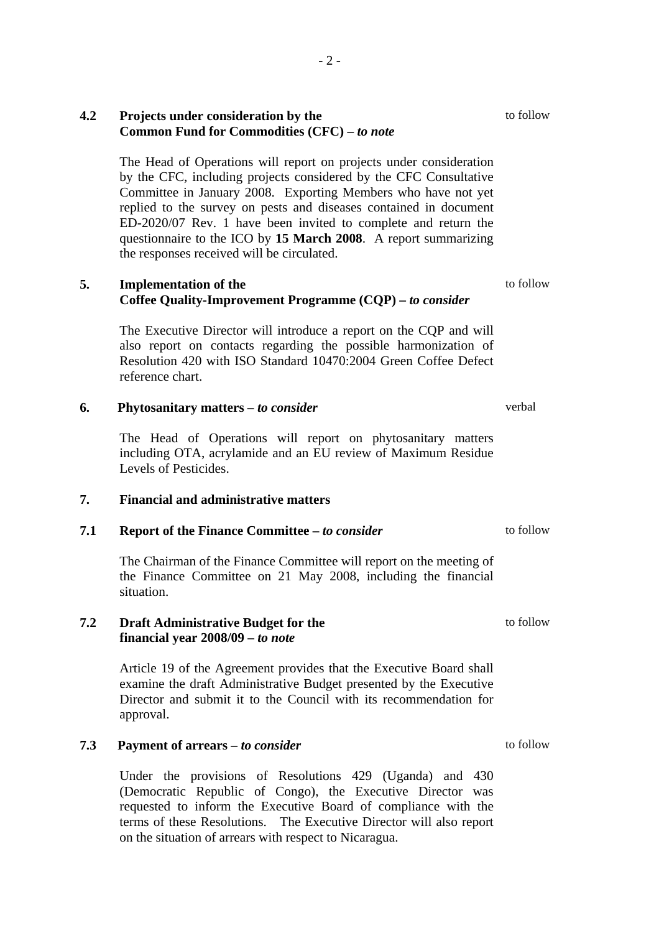## **4.2 Projects under consideration by the Common Fund for Commodities (CFC) –** *to note*

The Head of Operations will report on projects under consideration by the CFC, including projects considered by the CFC Consultative Committee in January 2008. Exporting Members who have not yet replied to the survey on pests and diseases contained in document ED-2020/07 Rev. 1 have been invited to complete and return the questionnaire to the ICO by **15 March 2008**. A report summarizing the responses received will be circulated.

## **5. Implementation of the Coffee Quality-Improvement Programme (CQP) –** *to consider*

The Executive Director will introduce a report on the CQP and will also report on contacts regarding the possible harmonization of Resolution 420 with ISO Standard 10470:2004 Green Coffee Defect reference chart.

## **6. Phytosanitary matters** *– to consider*

The Head of Operations will report on phytosanitary matters including OTA, acrylamide and an EU review of Maximum Residue Levels of Pesticides.

#### **7. Financial and administrative matters**

## **7.1 Report of the Finance Committee –** *to consider*

The Chairman of the Finance Committee will report on the meeting of the Finance Committee on 21 May 2008, including the financial situation.

#### **7.2 Draft Administrative Budget for the financial year 2008/09 –** *to note*

Article 19 of the Agreement provides that the Executive Board shall examine the draft Administrative Budget presented by the Executive Director and submit it to the Council with its recommendation for approval.

## **7.3 Payment of arrears** *– to consider*

Under the provisions of Resolutions 429 (Uganda) and 430 (Democratic Republic of Congo), the Executive Director was requested to inform the Executive Board of compliance with the terms of these Resolutions. The Executive Director will also report on the situation of arrears with respect to Nicaragua.

to follow

verbal

to follow

to follow

to follow

to follow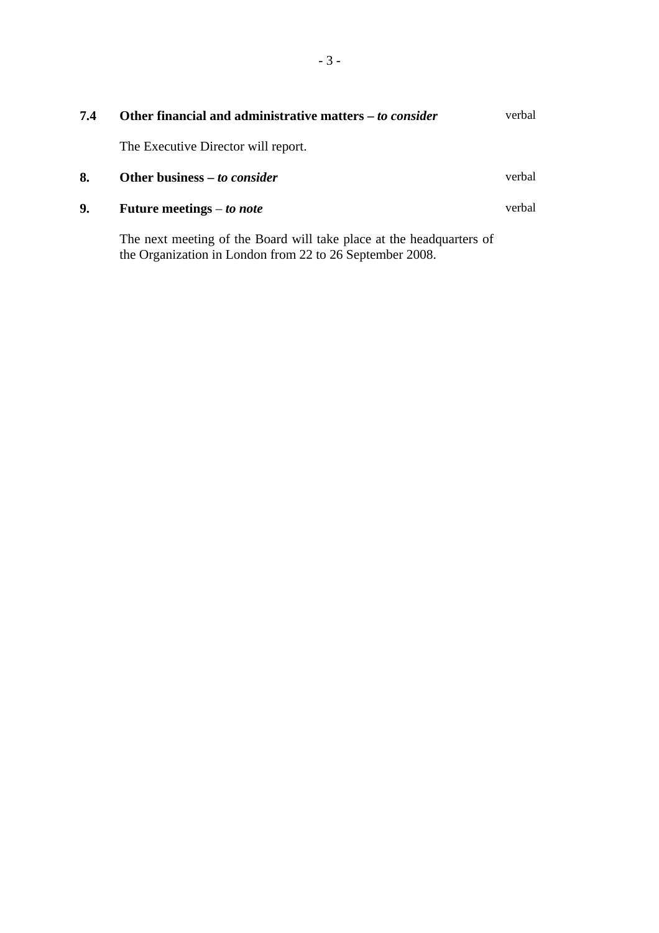| 7.4 | Other financial and administrative matters – to consider                                                                         | verbal |
|-----|----------------------------------------------------------------------------------------------------------------------------------|--------|
|     | The Executive Director will report.                                                                                              |        |
| 8.  | Other business – to consider                                                                                                     | verbal |
| 9.  | Future meetings $-$ to note                                                                                                      | verbal |
|     | The next meeting of the Board will take place at the headquarters of<br>the Organization in London from 22 to 26 September 2008. |        |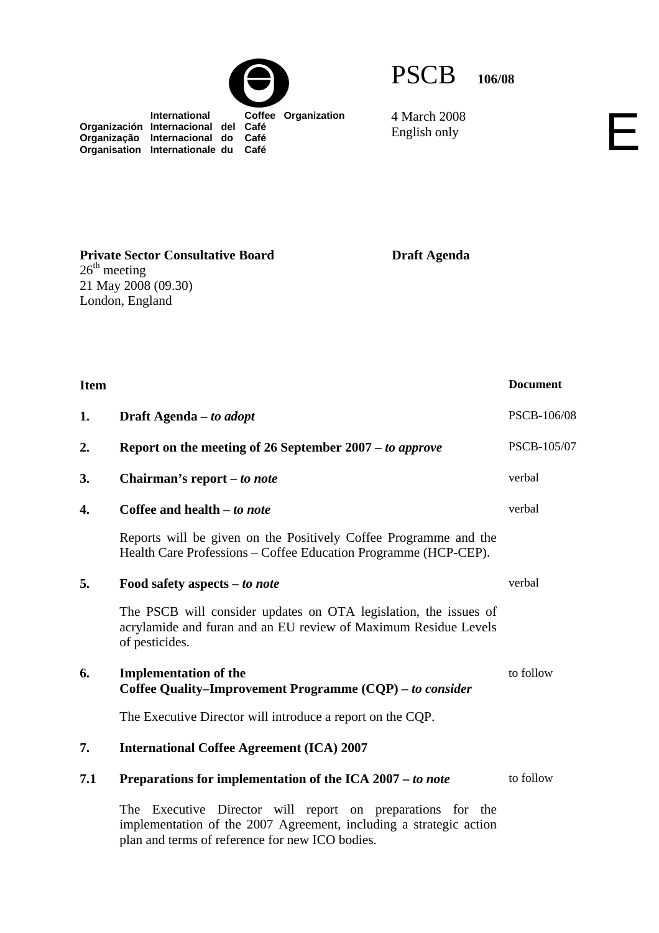PSCB **106/08**

4 March 2008 4 March 2008<br>English only

**Draft Agenda** 

 **International Coffee Organization Organización Internacional del Café Organização Internacional do Café Organisation Internationale du Café**

**Private Sector Consultative Board**   $26<sup>th</sup> meeting$ 21 May 2008 (09.30) London, England

| <b>Item</b> |                                                                                                                                                                                     | <b>Document</b> |
|-------------|-------------------------------------------------------------------------------------------------------------------------------------------------------------------------------------|-----------------|
| 1.          | Draft Agenda – to adopt                                                                                                                                                             | PSCB-106/08     |
| 2.          | Report on the meeting of 26 September 2007 – to approve                                                                                                                             | PSCB-105/07     |
| 3.          | Chairman's report – to note                                                                                                                                                         | verbal          |
| 4.          | Coffee and health - to note                                                                                                                                                         | verbal          |
|             | Reports will be given on the Positively Coffee Programme and the<br>Health Care Professions – Coffee Education Programme (HCP-CEP).                                                 |                 |
| 5.          | Food safety aspects – to note                                                                                                                                                       | verbal          |
|             | The PSCB will consider updates on OTA legislation, the issues of<br>acrylamide and furan and an EU review of Maximum Residue Levels<br>of pesticides.                               |                 |
| 6.          | <b>Implementation of the</b><br>Coffee Quality-Improvement Programme (CQP) - to consider                                                                                            | to follow       |
|             | The Executive Director will introduce a report on the CQP.                                                                                                                          |                 |
| 7.          | <b>International Coffee Agreement (ICA) 2007</b>                                                                                                                                    |                 |
| 7.1         | Preparations for implementation of the ICA 2007 - to note                                                                                                                           | to follow       |
|             | The Executive Director will report on preparations for the<br>implementation of the 2007 Agreement, including a strategic action<br>plan and terms of reference for new ICO bodies. |                 |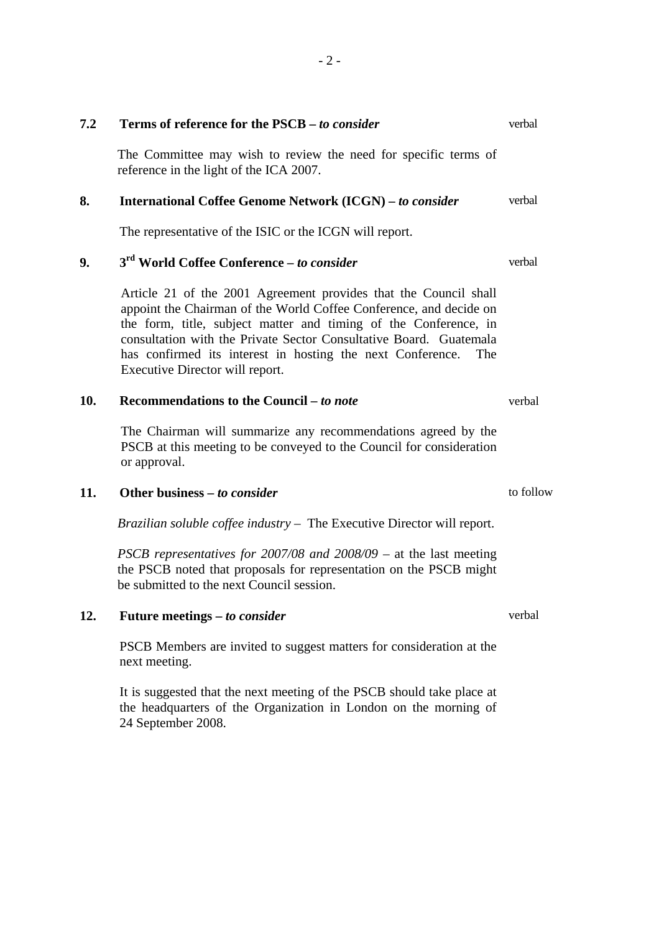|    | reference in the light of the ICA 2007.                                                                                                                                                                                                                                                                                                                                                                                                                                                                                                                 |  |  |  |
|----|---------------------------------------------------------------------------------------------------------------------------------------------------------------------------------------------------------------------------------------------------------------------------------------------------------------------------------------------------------------------------------------------------------------------------------------------------------------------------------------------------------------------------------------------------------|--|--|--|
| 8. | <b>International Coffee Genome Network (ICGN)</b> – to consider                                                                                                                                                                                                                                                                                                                                                                                                                                                                                         |  |  |  |
|    | The representative of the ISIC or the ICGN will report.                                                                                                                                                                                                                                                                                                                                                                                                                                                                                                 |  |  |  |
| 9. | 3 <sup>rd</sup> World Coffee Conference – to consider                                                                                                                                                                                                                                                                                                                                                                                                                                                                                                   |  |  |  |
|    | Article 21 of the 2001 Agreement provides that the Council shall<br>appoint the Chairman of the World Coffee Conference, and decide on<br>the form, title, subject matter and timing of the Conference, in<br>$\mathbf{1}$ , $\mathbf{1}$ , $\mathbf{1}$ , $\mathbf{1}$ , $\mathbf{1}$ , $\mathbf{1}$ , $\mathbf{1}$ , $\mathbf{1}$ , $\mathbf{1}$ , $\mathbf{1}$ , $\mathbf{1}$ , $\mathbf{1}$ , $\mathbf{1}$ , $\mathbf{1}$ , $\mathbf{1}$ , $\mathbf{1}$ , $\mathbf{1}$ , $\mathbf{1}$ , $\mathbf{1}$ , $\mathbf{1}$ , $\mathbf{1}$ , $\mathbf{1}$ , |  |  |  |

The Committee may wish to review the need for specific terms of

appoint the Chairman of the World Coffee Conference, and decide on the form, title, subject matter and timing of the Conference, in consultation with the Private Sector Consultative Board. Guatemala has confirmed its interest in hosting the next Conference. The Executive Director will report.

#### 10. Recommendations to the Council *– to note*

**7.2 Terms of reference for the PSCB –** *to consider*

The Chairman will summarize any recommendations agreed by the PSCB at this meeting to be conveyed to the Council for consideration or approval.

### **11. Other business** *– to consider*

*Brazilian soluble coffee industry* – The Executive Director will report.

*PSCB representatives for 2007/08 and 2008/09 – at the last meeting* the PSCB noted that proposals for representation on the PSCB might be submitted to the next Council session.

**12. Future meetings –** *to consider*

PSCB Members are invited to suggest matters for consideration at the next meeting.

It is suggested that the next meeting of the PSCB should take place at the headquarters of the Organization in London on the morning of 24 September 2008.

verbal

verbal

verbal

verbal

verbal

to follow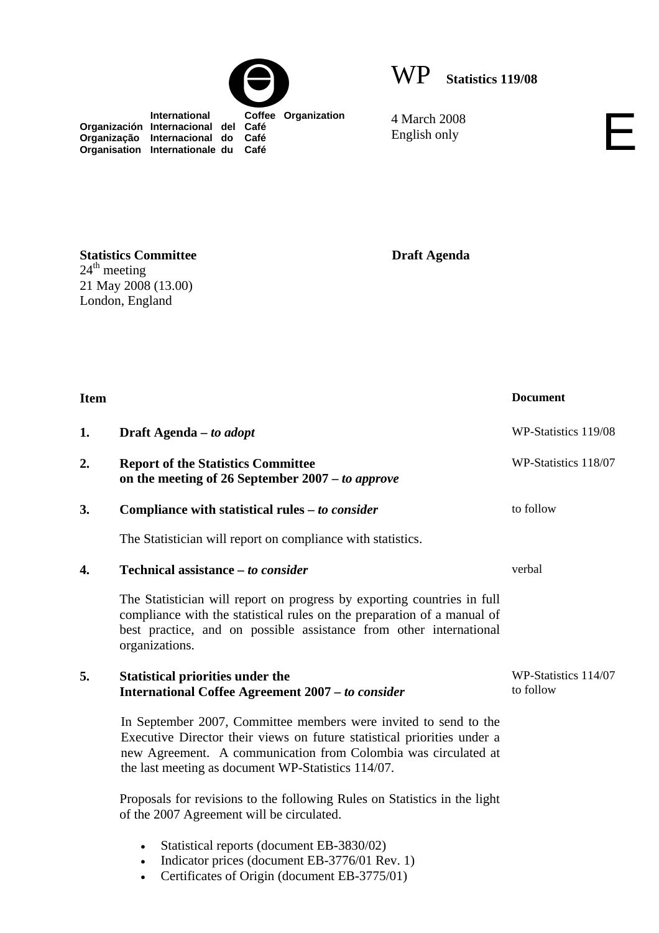



 **International Coffee Organization Organización Internacional del Café Organização Internacional do Café Organisation Internationale du Café**

4 March 2008 4 March 2008<br>English only

**Statistics Committee**   $24<sup>th</sup> meeting$ 21 May 2008 (13.00) London, England

**Draft Agenda** 

| <b>Item</b> |                                                                                                                                                                                                                                                                     | <b>Document</b>                   |
|-------------|---------------------------------------------------------------------------------------------------------------------------------------------------------------------------------------------------------------------------------------------------------------------|-----------------------------------|
| 1.          | Draft Agenda – to adopt                                                                                                                                                                                                                                             | WP-Statistics 119/08              |
| 2.          | <b>Report of the Statistics Committee</b><br>on the meeting of 26 September $2007 - to$ approve                                                                                                                                                                     | WP-Statistics 118/07              |
| 3.          | Compliance with statistical rules – to consider                                                                                                                                                                                                                     | to follow                         |
|             | The Statistician will report on compliance with statistics.                                                                                                                                                                                                         |                                   |
| 4.          | Technical assistance – to consider                                                                                                                                                                                                                                  | verbal                            |
|             | The Statistician will report on progress by exporting countries in full<br>compliance with the statistical rules on the preparation of a manual of<br>best practice, and on possible assistance from other international<br>organizations.                          |                                   |
| 5.          | <b>Statistical priorities under the</b><br><b>International Coffee Agreement 2007 - to consider</b>                                                                                                                                                                 | WP-Statistics 114/07<br>to follow |
|             | In September 2007, Committee members were invited to send to the<br>Executive Director their views on future statistical priorities under a<br>new Agreement. A communication from Colombia was circulated at<br>the last meeting as document WP-Statistics 114/07. |                                   |
|             | Proposals for revisions to the following Rules on Statistics in the light<br>of the 2007 Agreement will be circulated.                                                                                                                                              |                                   |

- Statistical reports (document EB-3830/02)
- Indicator prices (document EB-3776/01 Rev. 1)
- Certificates of Origin (document EB-3775/01)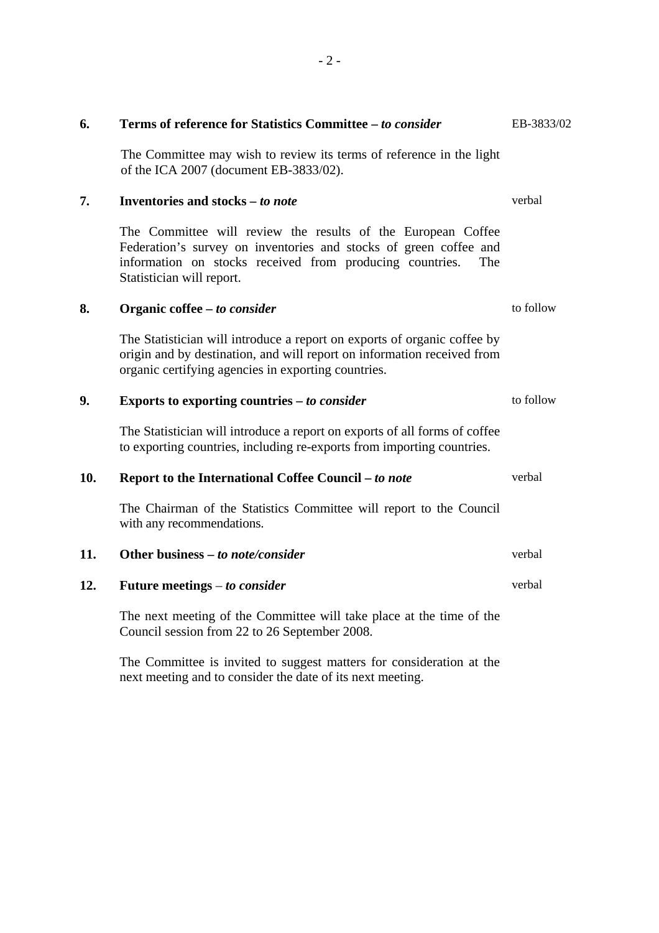| 6.  | Terms of reference for Statistics Committee - to consider                                                                                                                                                                         | EB-3833/02 |
|-----|-----------------------------------------------------------------------------------------------------------------------------------------------------------------------------------------------------------------------------------|------------|
|     | The Committee may wish to review its terms of reference in the light<br>of the ICA 2007 (document EB-3833/02).                                                                                                                    |            |
| 7.  | Inventories and stocks – to note                                                                                                                                                                                                  | verbal     |
|     | The Committee will review the results of the European Coffee<br>Federation's survey on inventories and stocks of green coffee and<br>information on stocks received from producing countries.<br>The<br>Statistician will report. |            |
| 8.  | Organic coffee – to consider                                                                                                                                                                                                      | to follow  |
|     | The Statistician will introduce a report on exports of organic coffee by<br>origin and by destination, and will report on information received from<br>organic certifying agencies in exporting countries.                        |            |
| 9.  | Exports to exporting countries $-$ to consider                                                                                                                                                                                    | to follow  |
|     | The Statistician will introduce a report on exports of all forms of coffee<br>to exporting countries, including re-exports from importing countries.                                                                              |            |
| 10. | Report to the International Coffee Council - to note                                                                                                                                                                              | verbal     |
|     | The Chairman of the Statistics Committee will report to the Council<br>with any recommendations.                                                                                                                                  |            |
| 11. | Other business - to note/consider                                                                                                                                                                                                 | verbal     |
| 12. | Future meetings $-$ to consider                                                                                                                                                                                                   | verbal     |
|     | The next meeting of the Committee will take place at the time of the<br>Council session from 22 to 26 September 2008.                                                                                                             |            |
|     |                                                                                                                                                                                                                                   |            |

The Committee is invited to suggest matters for consideration at the next meeting and to consider the date of its next meeting.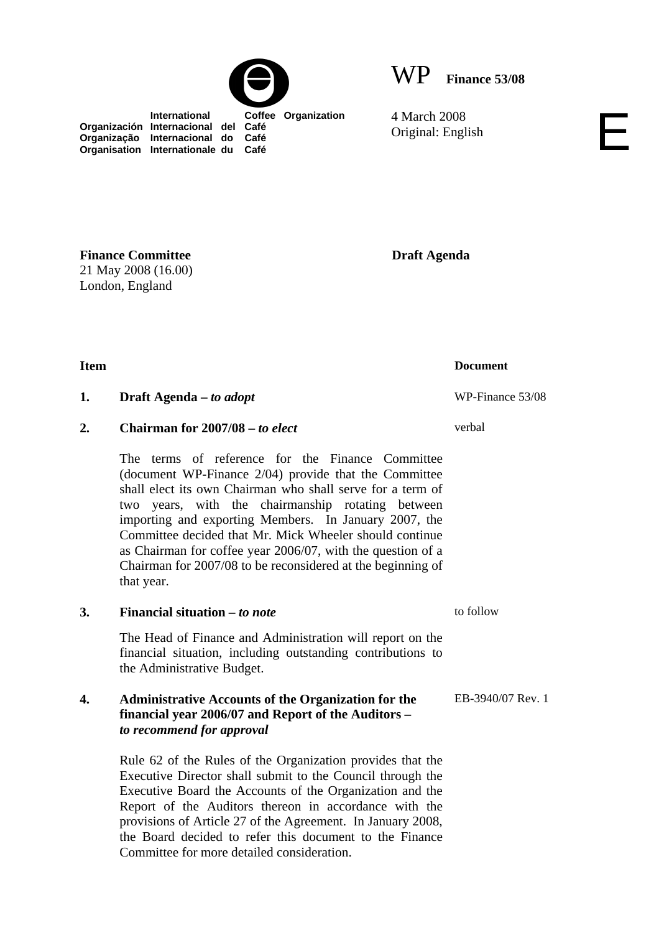

WP **Finance 53/08**

4 March 2008 4 March 2008<br>Original: English

 **International Coffee Organization Organización Internacional del Café Organização Internacional do Café Organisation Internationale du Café**

**Draft Agenda** 

**Finance Committee**  21 May 2008 (16.00) London, England

## **1. Draft Agenda** – *to adopt* WP-Finance 53/08

**2. Chairman for 2007/08 –** *to elect*

The terms of reference for the Finance Committee (document WP-Finance 2/04) provide that the Committee shall elect its own Chairman who shall serve for a term of two years, with the chairmanship rotating between importing and exporting Members. In January 2007, the Committee decided that Mr. Mick Wheeler should continue as Chairman for coffee year 2006/07, with the question of a Chairman for 2007/08 to be reconsidered at the beginning of that year.

## **3. Financial situation** *– to note*

 The Head of Finance and Administration will report on the financial situation, including outstanding contributions to the Administrative Budget.

## **4. Administrative Accounts of the Organization for the financial year 2006/07 and Report of the Auditors –**  *to recommend for approval*

Rule 62 of the Rules of the Organization provides that the Executive Director shall submit to the Council through the Executive Board the Accounts of the Organization and the Report of the Auditors thereon in accordance with the provisions of Article 27 of the Agreement. In January 2008, the Board decided to refer this document to the Finance Committee for more detailed consideration.

**Item** Document

verbal

to follow

EB-3940/07 Rev. 1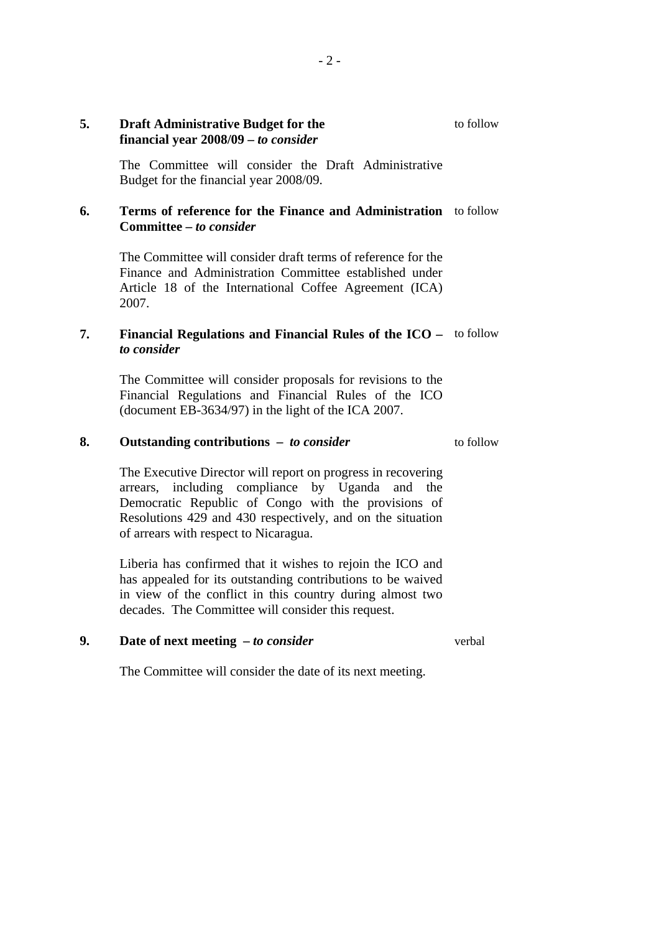## **5. Draft Administrative Budget for the financial year 2008/09 –** *to consider*

The Committee will consider the Draft Administrative Budget for the financial year 2008/09.

## **6. Terms of reference for the Finance and Administration**  to follow **Committee –** *to consider*

The Committee will consider draft terms of reference for the Finance and Administration Committee established under Article 18 of the International Coffee Agreement (ICA) 2007.

## **7. Financial Regulations and Financial Rules of the ICO –**  to follow *to consider*

The Committee will consider proposals for revisions to the Financial Regulations and Financial Rules of the ICO (document EB-3634/97) in the light of the ICA 2007.

#### **8. Outstanding contributions –** *to consider*

to follow

to follow

The Executive Director will report on progress in recovering arrears, including compliance by Uganda and the Democratic Republic of Congo with the provisions of Resolutions 429 and 430 respectively, and on the situation of arrears with respect to Nicaragua.

Liberia has confirmed that it wishes to rejoin the ICO and has appealed for its outstanding contributions to be waived in view of the conflict in this country during almost two decades. The Committee will consider this request.

## **9. Date of next meeting** *– to consider*

verbal

The Committee will consider the date of its next meeting.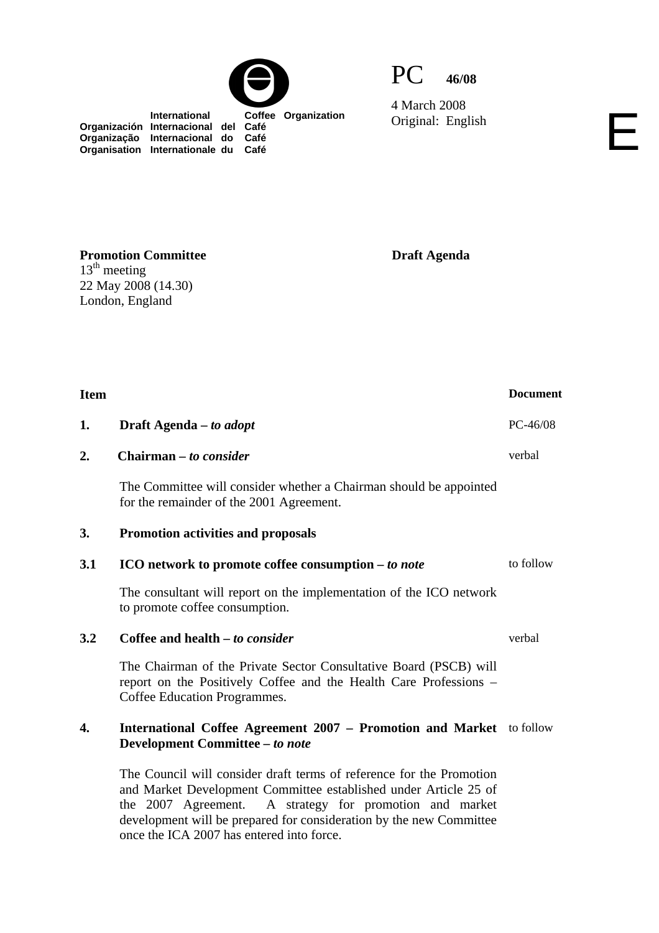



4 March 2008 Original: English

 **International Coffee Organization Organización Internacional del Café Organização Internacional do Café Organisation Internationale du Café**

**Draft Agenda** 

| <b>Item</b> |                                                                                                                                                                                                                                                                                                                            | <b>Document</b> |
|-------------|----------------------------------------------------------------------------------------------------------------------------------------------------------------------------------------------------------------------------------------------------------------------------------------------------------------------------|-----------------|
| 1.          | Draft Agenda – to adopt                                                                                                                                                                                                                                                                                                    | $PC-46/08$      |
| 2.          | Chairman – to consider                                                                                                                                                                                                                                                                                                     | verbal          |
|             | The Committee will consider whether a Chairman should be appointed<br>for the remainder of the 2001 Agreement.                                                                                                                                                                                                             |                 |
| 3.          | <b>Promotion activities and proposals</b>                                                                                                                                                                                                                                                                                  |                 |
| 3.1         | ICO network to promote coffee consumption – to note                                                                                                                                                                                                                                                                        | to follow       |
|             | The consultant will report on the implementation of the ICO network<br>to promote coffee consumption.                                                                                                                                                                                                                      |                 |
| 3.2         | Coffee and health – to consider                                                                                                                                                                                                                                                                                            | verbal          |
|             | The Chairman of the Private Sector Consultative Board (PSCB) will<br>report on the Positively Coffee and the Health Care Professions -<br>Coffee Education Programmes.                                                                                                                                                     |                 |
| 4.          | International Coffee Agreement 2007 - Promotion and Market to follow<br>Development Committee - to note                                                                                                                                                                                                                    |                 |
|             | The Council will consider draft terms of reference for the Promotion<br>and Market Development Committee established under Article 25 of<br>A strategy for promotion and market<br>the 2007 Agreement.<br>development will be prepared for consideration by the new Committee<br>once the ICA 2007 has entered into force. |                 |

**Promotion Committee**   $13<sup>th</sup>$  meeting 22 May 2008 (14.30) London, England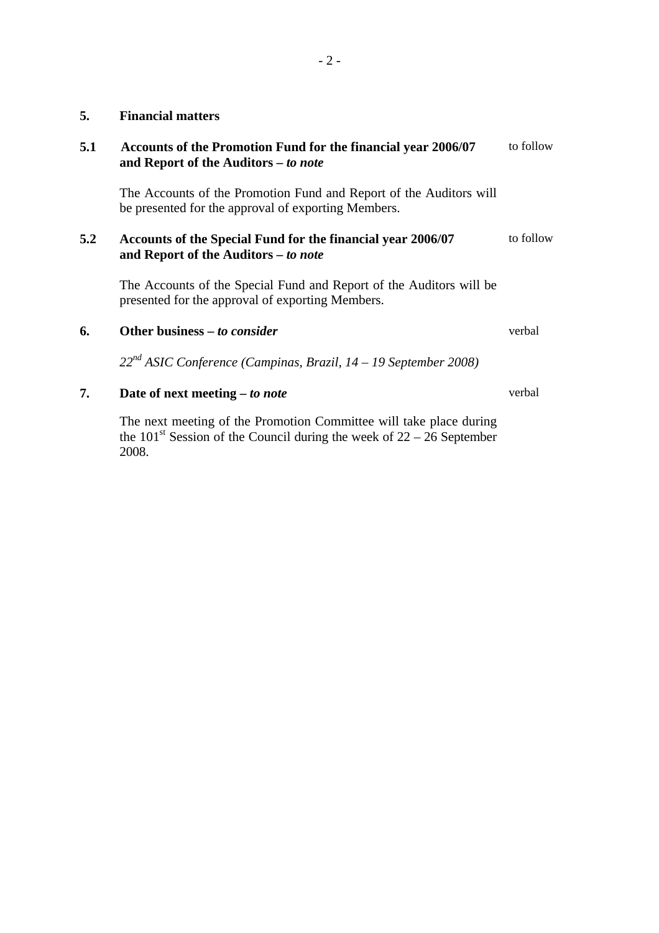### **5. Financial matters**

| 5.1 | Accounts of the Promotion Fund for the financial year 2006/07 | to follow |
|-----|---------------------------------------------------------------|-----------|
|     | and Report of the Auditors – to note                          |           |
|     |                                                               |           |

The Accounts of the Promotion Fund and Report of the Auditors will be presented for the approval of exporting Members.

#### **5.2 Accounts of the Special Fund for the financial year 2006/07 and Report of the Auditors** *– to note* to follow

The Accounts of the Special Fund and Report of the Auditors will be presented for the approval of exporting Members.

## **6.** Other business – *to consider* verbal

 *22nd ASIC Conference (Campinas, Brazil, 14 – 19 September 2008)*

**7. Date of next meeting –** *to note*

The next meeting of the Promotion Committee will take place during the  $101<sup>st</sup>$  Session of the Council during the week of  $22 - 26$  September 2008.

verbal